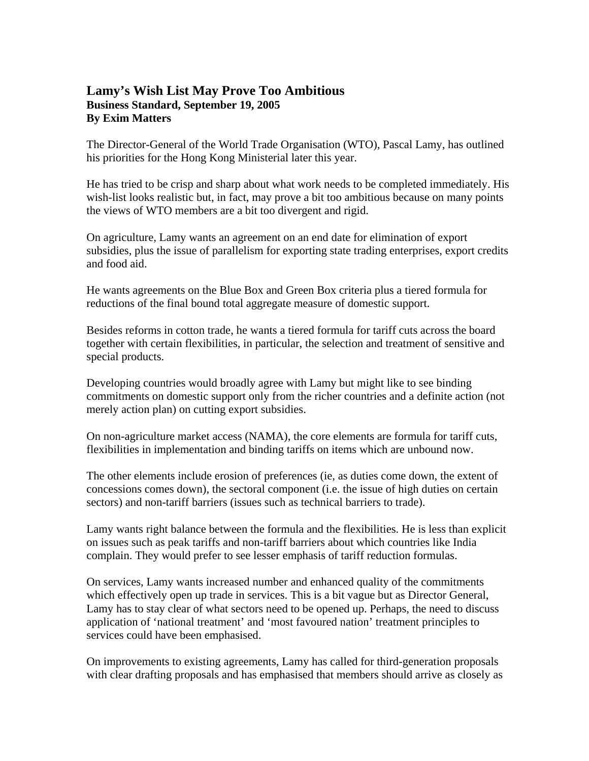## **Lamy's Wish List May Prove Too Ambitious Business Standard, September 19, 2005 By Exim Matters**

The Director-General of the World Trade Organisation (WTO), Pascal Lamy, has outlined his priorities for the Hong Kong Ministerial later this year.

He has tried to be crisp and sharp about what work needs to be completed immediately. His wish-list looks realistic but, in fact, may prove a bit too ambitious because on many points the views of WTO members are a bit too divergent and rigid.

On agriculture, Lamy wants an agreement on an end date for elimination of export subsidies, plus the issue of parallelism for exporting state trading enterprises, export credits and food aid.

He wants agreements on the Blue Box and Green Box criteria plus a tiered formula for reductions of the final bound total aggregate measure of domestic support.

Besides reforms in cotton trade, he wants a tiered formula for tariff cuts across the board together with certain flexibilities, in particular, the selection and treatment of sensitive and special products.

Developing countries would broadly agree with Lamy but might like to see binding commitments on domestic support only from the richer countries and a definite action (not merely action plan) on cutting export subsidies.

On non-agriculture market access (NAMA), the core elements are formula for tariff cuts, flexibilities in implementation and binding tariffs on items which are unbound now.

The other elements include erosion of preferences (ie, as duties come down, the extent of concessions comes down), the sectoral component (i.e. the issue of high duties on certain sectors) and non-tariff barriers (issues such as technical barriers to trade).

Lamy wants right balance between the formula and the flexibilities. He is less than explicit on issues such as peak tariffs and non-tariff barriers about which countries like India complain. They would prefer to see lesser emphasis of tariff reduction formulas.

On services, Lamy wants increased number and enhanced quality of the commitments which effectively open up trade in services. This is a bit vague but as Director General, Lamy has to stay clear of what sectors need to be opened up. Perhaps, the need to discuss application of 'national treatment' and 'most favoured nation' treatment principles to services could have been emphasised.

On improvements to existing agreements, Lamy has called for third-generation proposals with clear drafting proposals and has emphasised that members should arrive as closely as